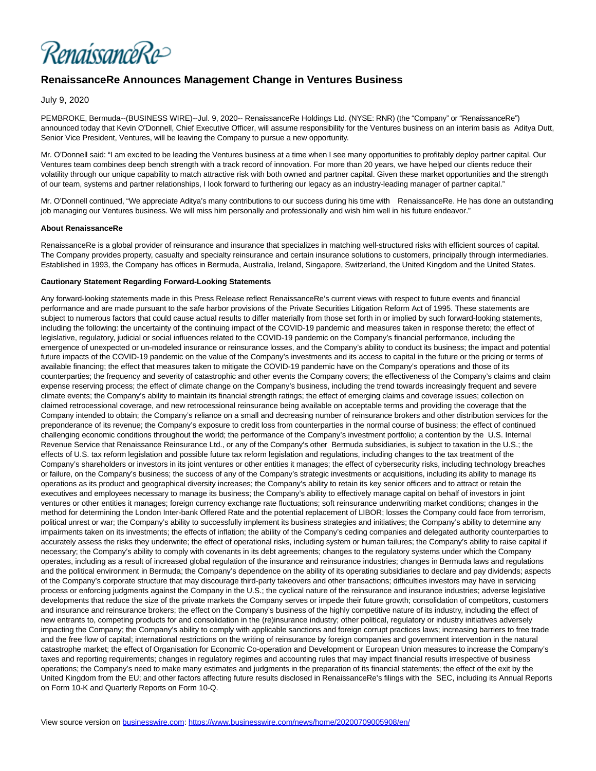RenaissanceRe>

## **RenaissanceRe Announces Management Change in Ventures Business**

July 9, 2020

PEMBROKE, Bermuda--(BUSINESS WIRE)--Jul. 9, 2020-- RenaissanceRe Holdings Ltd. (NYSE: RNR) (the "Company" or "RenaissanceRe") announced today that Kevin O'Donnell, Chief Executive Officer, will assume responsibility for the Ventures business on an interim basis as Aditya Dutt, Senior Vice President, Ventures, will be leaving the Company to pursue a new opportunity.

Mr. O'Donnell said: "I am excited to be leading the Ventures business at a time when I see many opportunities to profitably deploy partner capital. Our Ventures team combines deep bench strength with a track record of innovation. For more than 20 years, we have helped our clients reduce their volatility through our unique capability to match attractive risk with both owned and partner capital. Given these market opportunities and the strength of our team, systems and partner relationships, I look forward to furthering our legacy as an industry-leading manager of partner capital."

Mr. O'Donnell continued, "We appreciate Aditya's many contributions to our success during his time with RenaissanceRe. He has done an outstanding job managing our Ventures business. We will miss him personally and professionally and wish him well in his future endeavor."

## **About RenaissanceRe**

RenaissanceRe is a global provider of reinsurance and insurance that specializes in matching well-structured risks with efficient sources of capital. The Company provides property, casualty and specialty reinsurance and certain insurance solutions to customers, principally through intermediaries. Established in 1993, the Company has offices in Bermuda, Australia, Ireland, Singapore, Switzerland, the United Kingdom and the United States.

## **Cautionary Statement Regarding Forward-Looking Statements**

Any forward-looking statements made in this Press Release reflect RenaissanceRe's current views with respect to future events and financial performance and are made pursuant to the safe harbor provisions of the Private Securities Litigation Reform Act of 1995. These statements are subject to numerous factors that could cause actual results to differ materially from those set forth in or implied by such forward-looking statements, including the following: the uncertainty of the continuing impact of the COVID-19 pandemic and measures taken in response thereto; the effect of legislative, regulatory, judicial or social influences related to the COVID-19 pandemic on the Company's financial performance, including the emergence of unexpected or un-modeled insurance or reinsurance losses, and the Company's ability to conduct its business; the impact and potential future impacts of the COVID-19 pandemic on the value of the Company's investments and its access to capital in the future or the pricing or terms of available financing; the effect that measures taken to mitigate the COVID-19 pandemic have on the Company's operations and those of its counterparties; the frequency and severity of catastrophic and other events the Company covers; the effectiveness of the Company's claims and claim expense reserving process; the effect of climate change on the Company's business, including the trend towards increasingly frequent and severe climate events; the Company's ability to maintain its financial strength ratings; the effect of emerging claims and coverage issues; collection on claimed retrocessional coverage, and new retrocessional reinsurance being available on acceptable terms and providing the coverage that the Company intended to obtain; the Company's reliance on a small and decreasing number of reinsurance brokers and other distribution services for the preponderance of its revenue; the Company's exposure to credit loss from counterparties in the normal course of business; the effect of continued challenging economic conditions throughout the world; the performance of the Company's investment portfolio; a contention by the U.S. Internal Revenue Service that Renaissance Reinsurance Ltd., or any of the Company's other Bermuda subsidiaries, is subject to taxation in the U.S.; the effects of U.S. tax reform legislation and possible future tax reform legislation and regulations, including changes to the tax treatment of the Company's shareholders or investors in its joint ventures or other entities it manages; the effect of cybersecurity risks, including technology breaches or failure, on the Company's business; the success of any of the Company's strategic investments or acquisitions, including its ability to manage its operations as its product and geographical diversity increases; the Company's ability to retain its key senior officers and to attract or retain the executives and employees necessary to manage its business; the Company's ability to effectively manage capital on behalf of investors in joint ventures or other entities it manages; foreign currency exchange rate fluctuations; soft reinsurance underwriting market conditions; changes in the method for determining the London Inter-bank Offered Rate and the potential replacement of LIBOR; losses the Company could face from terrorism, political unrest or war; the Company's ability to successfully implement its business strategies and initiatives; the Company's ability to determine any impairments taken on its investments; the effects of inflation; the ability of the Company's ceding companies and delegated authority counterparties to accurately assess the risks they underwrite; the effect of operational risks, including system or human failures; the Company's ability to raise capital if necessary; the Company's ability to comply with covenants in its debt agreements; changes to the regulatory systems under which the Company operates, including as a result of increased global regulation of the insurance and reinsurance industries; changes in Bermuda laws and regulations and the political environment in Bermuda; the Company's dependence on the ability of its operating subsidiaries to declare and pay dividends; aspects of the Company's corporate structure that may discourage third-party takeovers and other transactions; difficulties investors may have in servicing process or enforcing judgments against the Company in the U.S.; the cyclical nature of the reinsurance and insurance industries; adverse legislative developments that reduce the size of the private markets the Company serves or impede their future growth; consolidation of competitors, customers and insurance and reinsurance brokers; the effect on the Company's business of the highly competitive nature of its industry, including the effect of new entrants to, competing products for and consolidation in the (re)insurance industry; other political, regulatory or industry initiatives adversely impacting the Company; the Company's ability to comply with applicable sanctions and foreign corrupt practices laws; increasing barriers to free trade and the free flow of capital; international restrictions on the writing of reinsurance by foreign companies and government intervention in the natural catastrophe market; the effect of Organisation for Economic Co-operation and Development or European Union measures to increase the Company's taxes and reporting requirements; changes in regulatory regimes and accounting rules that may impact financial results irrespective of business operations; the Company's need to make many estimates and judgments in the preparation of its financial statements; the effect of the exit by the United Kingdom from the EU; and other factors affecting future results disclosed in RenaissanceRe's filings with the SEC, including its Annual Reports on Form 10-K and Quarterly Reports on Form 10-Q.